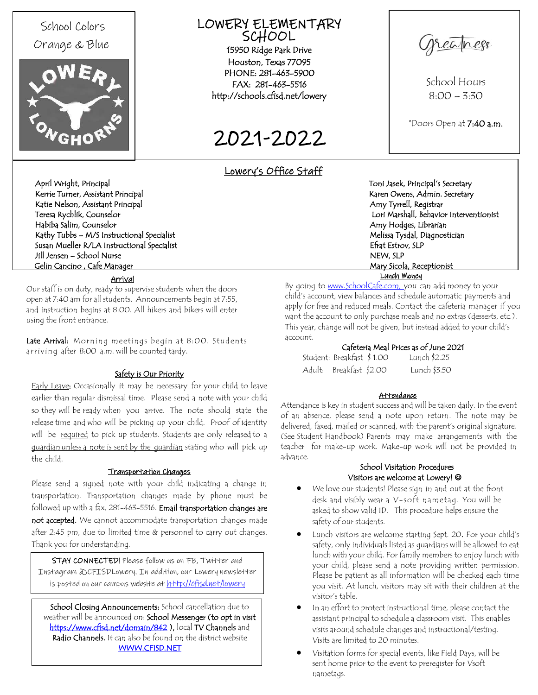# School Colors Orange & Blue



# LOWERY ELEMENTARY SCHOOL

15950 Ridge Park Drive Houston, Texas 77095 PHONE: 281-463-5900 FAX: 281-463-551[6](http://schools.cfisd.net/lowery/index.stm)  [http://schools.cfisd.net/lowery](http://schools.cfisd.net/lowery/index.stm) 

2021-2022

eaness

School Hours  $8:00 - 3:30$ 

\*Doors Open at 7:40 a.m.

# Lowery's Office Staff

account.

April Wright, Principal Toni Jasek, Principal's Secretary Kerrie Turner, Assistant Principal Karen Owens, Admin. Secretary Channel Karen Owens, Admin. Secretary Katie Nelson, Assistant Principal<br>Teresa Rychlik, Counselor Amy Tyrrell, Registrar<br>Amy Tyrrell, Registrar Habiba Salim, Counselor Amy Hodges, Librarian Kathy Tubbs – M/S Instructional Specialist Melissa Tysdal, Diagnostician Susan Mueller R/LA Instructional Specialist Estrov, SLP Jill Jensen – School Nurse NEW, SLP Gelin Cancino , Cafe Manager Mary Sicola, Receptionist

Lori Marshall, Behavior Interventionist Lunch Money

Our staff is on duty, ready to supervise students when the doors open at 7:40 am for all students. Announcements begin at 7:55, and instruction begins at 8:00. All hikers and bikers will enter using the front entrance.

Arrival

Late Arrival: Morning meetings begin at 8:00. Students arriving after 8:00 a.m. will be counted tardy.

# Safety is Our Priority

Early Leave: Occasionally it may be necessary for your child to leave earlier than regular dismissal time. Please send a note with your child so they will be ready when you arrive. The note should state the release time and who will be picking up your child. Proof of identity will be required to pick up students. Students are only released to a guardian unless a note is sent by the quardian stating who will pick up the child.

## Transportation Changes

Please send a signed note with your child indicating a change in transportation. Transportation changes made by phone must be followed up with a fax, 281-463-5516. Email transportation changes are not accepted. We cannot accommodate transportation changes made after 2:45 pm, due to limited time & personnel to carry out changes. Thank you for understanding.

STAY CONNECTED! Please follow us on FB, Twitter and Instagram @CFISDLowery. In addition, our Lowery newsletter is posted on our campus website at <http://cfisd.net/lowery>

School Closing Announcements: School cancellation due to weather will be announced on: School Messenger (to opt in visit [https://www.cfisd.net/domain/842 \)](https://www.cfisd.net/domain/842), local TV Channels and Radio Channels. It can also be found on the district website [WWW.CFISD.NET](http://www.cfisd.net/)

#### Attendance

Student: Breakfast \$ 1.00 Lunch \$2.25 Adult: Breakfast \$2.00 Lunch \$3.50

Cafeteria Meal Prices as of June 2021

By going to www.SchoolCafe.com, you can add money to your child's account, view balances and schedule automatic payments and apply for free and reduced meals. Contact the cafeteria manager if you want the account to only purchase meals and no extras (desserts, etc.). This year, change will not be given, but instead added to your child's

Attendance is key in student success and will be taken daily. In the event of an absence, please send a note upon return. The note may be delivered, faxed, mailed or scanned, with the parent's original signature. (See Student Handbook) Parents may make arrangements with the teacher for make-up work. Make-up work will not be provided in advance.

# School Visitation Procedures Visitors are welcome at Lowery! @

- We love our students! Please sign in and out at the front desk and visibly wear a V-soft nametag. You will be asked to show valid ID. This procedure helps ensure the safety of our students.
- Lunch visitors are welcome starting Sept. 20. For your child's safety, only individuals listed as guardians will be allowed to eat lunch with your child. For family members to enjoy lunch with your child, please send a note providing written permission. Please be patient as all information will be checked each time you visit. At lunch, visitors may sit with their children at the visitor's table.
- In an effort to protect instructional time, please contact the assistant principal to schedule a classroom visit. This enables visits around schedule changes and instructional/testing. Visits are limited to 20 minutes.
- Visitation forms for special events, like Field Days, will be sent home prior to the event to preregister for Vsoft nametags.